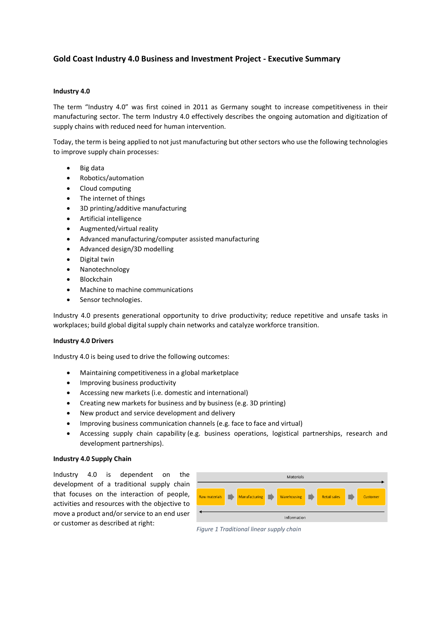# **Gold Coast Industry 4.0 Business and Investment Project - Executive Summary**

## **Industry 4.0**

The term "Industry 4.0" was first coined in 2011 as Germany sought to increase competitiveness in their manufacturing sector. The term Industry 4.0 effectively describes the ongoing automation and digitization of supply chains with reduced need for human intervention.

Today, the term is being applied to not just manufacturing but other sectors who use the following technologies to improve supply chain processes:

- Big data
- Robotics/automation
- Cloud computing
- The internet of things
- 3D printing/additive manufacturing
- Artificial intelligence
- Augmented/virtual reality
- Advanced manufacturing/computer assisted manufacturing
- Advanced design/3D modelling
- Digital twin
- Nanotechnology
- Blockchain
- Machine to machine communications
- Sensor technologies.

Industry 4.0 presents generational opportunity to drive productivity; reduce repetitive and unsafe tasks in workplaces; build global digital supply chain networks and catalyze workforce transition.

#### **Industry 4.0 Drivers**

Industry 4.0 is being used to drive the following outcomes:

- Maintaining competitiveness in a global marketplace
- Improving business productivity
- Accessing new markets (i.e. domestic and international)
- Creating new markets for business and by business (e.g. 3D printing)
- New product and service development and delivery
- Improving business communication channels (e.g. face to face and virtual)
- Accessing supply chain capability (e.g. business operations, logistical partnerships, research and development partnerships).

## **Industry 4.0 Supply Chain**

Industry 4.0 is dependent on the development of a traditional supply chain that focuses on the interaction of people, activities and resources with the objective to move a product and/or service to an end user or customer as described at right:

|                      |  |                        |     | Materials   |  |                     |          |
|----------------------|--|------------------------|-----|-------------|--|---------------------|----------|
| <b>Raw materials</b> |  | Manufacturing <b>N</b> | o k | Warehousing |  | <b>Retail sales</b> | Customer |
| Information          |  |                        |     |             |  |                     |          |

*Figure 1 Traditional linear supply chain*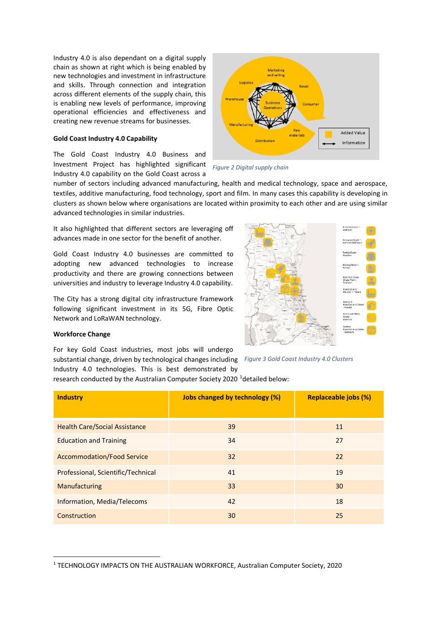Industry 4.0 is also dependant on a digital supply chain as shown at right which is being enabled by new technologies and investment in infrastructure and skills. Through connection and integration across different elements of the supply chain, this is enabling new levels of performance, improving operational efficiencies and effectiveness and creating new revenue streams for businesses.

#### **Gold Coast Industry 4.0 Capability**

The Gold Coast Industry 4.0 Business and Investment Project has highlighted significant Industry 4.0 capability on the Gold Coast across a



*Figure 2 Digital supply chain 1 Digitial supply chain*

number of sectors including advanced manufacturing, health and medical technology, space and aerospace, textiles, additive manufacturing, food technology, sport and film. In many cases this capability is developing in clusters as shown below where organisations are located within proximity to each other and are using similar advanced technologies in similar industries.

It also highlighted that different sectors are leveraging off advances made in one sector for the benefit of another.

Gold Coast Industry 4.0 businesses are committed to adopting new advanced technologies to increase productivity and there are growing connections between universities and industry to leverage Industry 4.0 capability.

The City has a strong digital city infrastructure framework following significant investment in its 5G, Fibre Optic Network and LoRaWAN technology.



### **Workforce Change**

For key Gold Coast industries, most jobs will undergo substantial change, driven by technological changes including *Figure 3 Gold Coast Industry 4.0 Clusters*

Industry 4.0 technologies. This is best demonstrated by research conducted by the Australian Computer Society 2020 <sup>[1](#page-1-0)</sup>detailed below:

| <b>Industry</b>                      | <b>Jobs changed by technology (%)</b> | <b>Replaceable jobs (%)</b> |
|--------------------------------------|---------------------------------------|-----------------------------|
|                                      |                                       |                             |
| <b>Health Care/Social Assistance</b> | 39                                    | 11                          |
| <b>Education and Training</b>        | 34                                    | 27                          |
| <b>Accommodation/Food Service</b>    | 32                                    | 22                          |
| Professional, Scientific/Technical   | 41                                    | 19                          |
| Manufacturing                        | 33                                    | 30                          |
| Information, Media/Telecoms          | 42                                    | 18                          |
| Construction                         | 30                                    | 25                          |

<span id="page-1-0"></span><sup>1</sup> TECHNOLOGY IMPACTS ON THE AUSTRALIAN WORKFORCE, Australian Computer Society, 2020